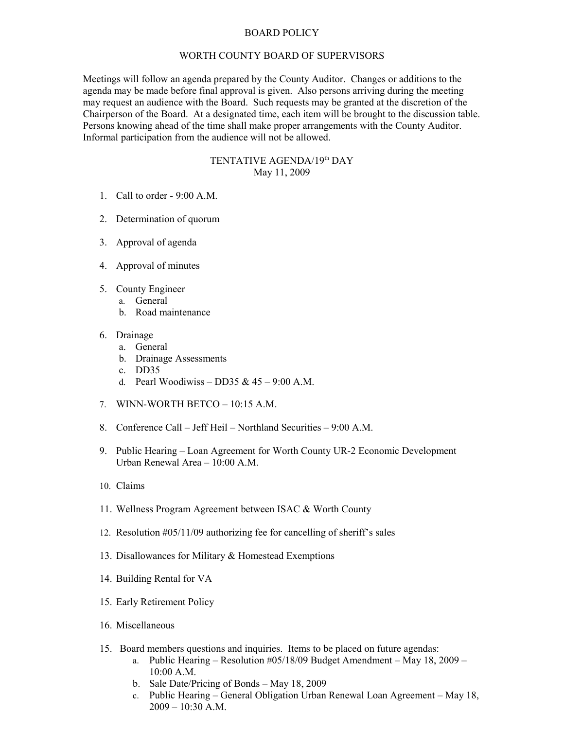## BOARD POLICY

## WORTH COUNTY BOARD OF SUPERVISORS

Meetings will follow an agenda prepared by the County Auditor. Changes or additions to the agenda may be made before final approval is given. Also persons arriving during the meeting may request an audience with the Board. Such requests may be granted at the discretion of the Chairperson of the Board. At a designated time, each item will be brought to the discussion table. Persons knowing ahead of the time shall make proper arrangements with the County Auditor. Informal participation from the audience will not be allowed.

## TENTATIVE AGENDA/19th DAY May 11, 2009

- 1. Call to order 9:00 A.M.
- 2. Determination of quorum
- 3. Approval of agenda
- 4. Approval of minutes
- 5. County Engineer
	- a. General
	- b. Road maintenance
- 6. Drainage
	- a. General
	- b. Drainage Assessments
	- c. DD35
	- d. Pearl Woodiwiss DD35 &  $45 9:00$  A.M.
- 7. WINN-WORTH BETCO 10:15 A.M.
- 8. Conference Call Jeff Heil Northland Securities 9:00 A.M.
- 9. Public Hearing Loan Agreement for Worth County UR-2 Economic Development Urban Renewal Area – 10:00 A.M.
- 10. Claims
- 11. Wellness Program Agreement between ISAC & Worth County
- 12. Resolution #05/11/09 authorizing fee for cancelling of sheriff's sales
- 13. Disallowances for Military & Homestead Exemptions
- 14. Building Rental for VA
- 15. Early Retirement Policy
- 16. Miscellaneous
- 15. Board members questions and inquiries. Items to be placed on future agendas:
	- a. Public Hearing Resolution #05/18/09 Budget Amendment May 18, 2009 10:00 A.M.
	- b. Sale Date/Pricing of Bonds May 18, 2009
	- c. Public Hearing General Obligation Urban Renewal Loan Agreement May 18,  $2009 - 10:30$  A.M.